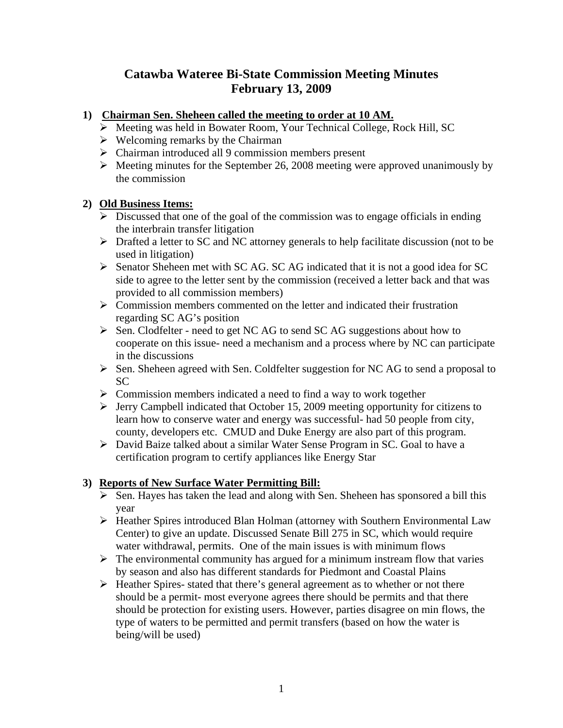## **Catawba Wateree Bi-State Commission Meeting Minutes February 13, 2009**

## **1) Chairman Sen. Sheheen called the meeting to order at 10 AM.**

- ¾ Meeting was held in Bowater Room, Your Technical College, Rock Hill, SC
- $\triangleright$  Welcoming remarks by the Chairman
- $\triangleright$  Chairman introduced all 9 commission members present
- $\triangleright$  Meeting minutes for the September 26, 2008 meeting were approved unanimously by the commission

## **2) Old Business Items:**

- $\triangleright$  Discussed that one of the goal of the commission was to engage officials in ending the interbrain transfer litigation
- ¾ Drafted a letter to SC and NC attorney generals to help facilitate discussion (not to be used in litigation)
- ¾ Senator Sheheen met with SC AG. SC AG indicated that it is not a good idea for SC side to agree to the letter sent by the commission (received a letter back and that was provided to all commission members)
- $\triangleright$  Commission members commented on the letter and indicated their frustration regarding SC AG's position
- ¾ Sen. Clodfelter need to get NC AG to send SC AG suggestions about how to cooperate on this issue- need a mechanism and a process where by NC can participate in the discussions
- ¾ Sen. Sheheen agreed with Sen. Coldfelter suggestion for NC AG to send a proposal to SC
- $\triangleright$  Commission members indicated a need to find a way to work together
- $\triangleright$  Jerry Campbell indicated that October 15, 2009 meeting opportunity for citizens to learn how to conserve water and energy was successful- had 50 people from city, county, developers etc. CMUD and Duke Energy are also part of this program.
- ¾ David Baize talked about a similar Water Sense Program in SC. Goal to have a certification program to certify appliances like Energy Star

## **3) Reports of New Surface Water Permitting Bill:**

- $\triangleright$  Sen. Hayes has taken the lead and along with Sen. Sheheen has sponsored a bill this year
- ¾ Heather Spires introduced Blan Holman (attorney with Southern Environmental Law Center) to give an update. Discussed Senate Bill 275 in SC, which would require water withdrawal, permits. One of the main issues is with minimum flows
- $\triangleright$  The environmental community has argued for a minimum instream flow that varies by season and also has different standards for Piedmont and Coastal Plains
- ¾ Heather Spires- stated that there's general agreement as to whether or not there should be a permit- most everyone agrees there should be permits and that there should be protection for existing users. However, parties disagree on min flows, the type of waters to be permitted and permit transfers (based on how the water is being/will be used)